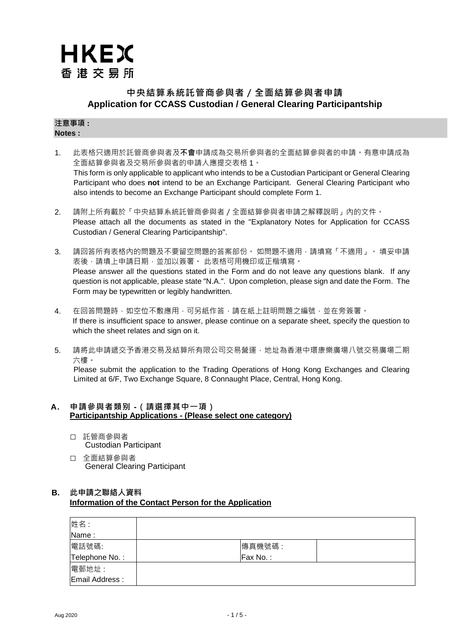# **HKEX** 香港交易所

## **中央結算系統託管商參與者/全面結算參與者申請 Application for CCASS Custodian / General Clearing Participantship**

#### **注意事項 : Notes :**

- 1. 此表格只適用於託管商參與者及**不會**申請成為交易所參與者的全面結算參與者的申請。有意申請成為 全面結算參與者及交易所參與者的申請人應提交表格 1。 This form is only applicable to applicant who intends to be a Custodian Participant or General Clearing Participant who does **not** intend to be an Exchange Participant. General Clearing Participant who also intends to become an Exchange Participant should complete Form 1.
- 2. 請附上所有載於「中央結算系統託管商參與者/全面結算參與者申請之解釋說明」內的文件。 Please attach all the documents as stated in the "Explanatory Notes for Application for CCASS Custodian / General Clearing Participantship".
- 3. 請回答所有表格內的問題及不要留空問題的答案部份。 如問題不適用,請填寫「不適用」。 填妥申請 表後,請填上申請日期,並加以簽署。 此表格可用機印或正楷填寫。 Please answer all the questions stated in the Form and do not leave any questions blank. If any question is not applicable, please state "N.A.". Upon completion, please sign and date the Form. The Form may be typewritten or legibly handwritten.
- 4. 在回答問題時,如空位不敷應用,可另紙作答,請在紙上註明問題之編號,並在旁簽署。 If there is insufficient space to answer, please continue on a separate sheet, specify the question to which the sheet relates and sign on it.
- 5. 請將此申請遞交予香港交易及結算所有限公司交易營運,地址為香港中環康樂廣場八號交易廣場二期 六樓。

Please submit the application to the Trading Operations of Hong Kong Exchanges and Clearing Limited at 6/F, Two Exchange Square, 8 Connaught Place, Central, Hong Kong.

## **A. 申請參與者類别 -(請選擇其中一項) Participantship Applications - (Please select one category)**

- □ 託管商參與者 Custodian Participant
- □ 全面結算參與者 General Clearing Participant

## **B. 此申請之聯絡人資料 Information of the Contact Person for the Application**

| 姓名:            |          |
|----------------|----------|
| Name:          |          |
| 電話號碼:          | 傳真機號碼:   |
| Telephone No.: | Fax No.: |
| 電郵地址:          |          |
| Email Address: |          |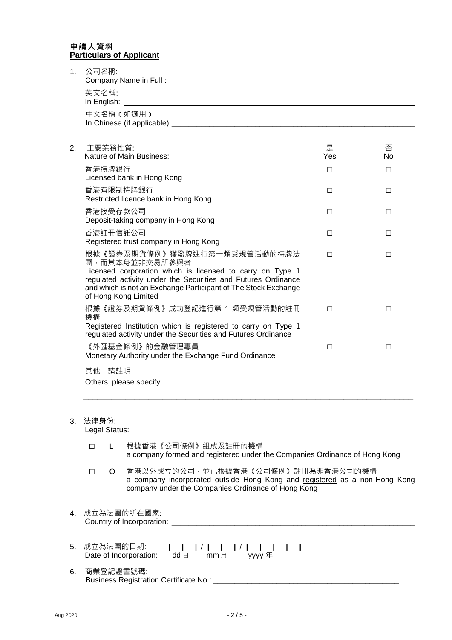### **申請人資料 Particulars of Applicant**

| 1.     | 公司名稱:                  | Company Name in Full:                                                                                                                                                                                                                                                  |          |         |
|--------|------------------------|------------------------------------------------------------------------------------------------------------------------------------------------------------------------------------------------------------------------------------------------------------------------|----------|---------|
|        | 英文名稱:<br>In English:   |                                                                                                                                                                                                                                                                        |          |         |
|        |                        | 中文名稱(如適用)                                                                                                                                                                                                                                                              |          |         |
| 2.     | 主要業務性質:                | Nature of Main Business:                                                                                                                                                                                                                                               | 是<br>Yes | 否<br>N٥ |
|        | 香港持牌銀行                 | Licensed bank in Hong Kong                                                                                                                                                                                                                                             | □        | $\Box$  |
|        |                        | 香港有限制持牌銀行<br>Restricted licence bank in Hong Kong                                                                                                                                                                                                                      | □        | □       |
|        | 香港接受存款公司               | Deposit-taking company in Hong Kong                                                                                                                                                                                                                                    | □        | □       |
|        | 香港註冊信託公司               | Registered trust company in Hong Kong                                                                                                                                                                                                                                  | □        | □       |
|        |                        | 根據《證券及期貨條例》獲發牌進行第一類受規管活動的持牌法<br>團,而其本身並非交易所參與者<br>Licensed corporation which is licensed to carry on Type 1<br>regulated activity under the Securities and Futures Ordinance<br>and which is not an Exchange Participant of The Stock Exchange<br>of Hong Kong Limited | П        | □       |
| 機構     |                        | 根據《證券及期貨條例》成功登記進行第 1 類受規管活動的註冊<br>Registered Institution which is registered to carry on Type 1<br>regulated activity under the Securities and Futures Ordinance                                                                                                       | П        | $\Box$  |
|        |                        | 《外匯基金條例》的金融管理專員<br>Monetary Authority under the Exchange Fund Ordinance                                                                                                                                                                                                | □        | □       |
|        | 其他,請註明                 | Others, please specify                                                                                                                                                                                                                                                 |          |         |
| 3.     | 法律身份:<br>Legal Status: |                                                                                                                                                                                                                                                                        |          |         |
| $\Box$ | L                      | 根據香港《公司條例》組成及註冊的機構<br>a company formed and registered under the Companies Ordinance of Hong Kong                                                                                                                                                                       |          |         |
| $\Box$ | O.                     | 香港以外成立的公司,並已根據香港《公司條例》註冊為非香港公司的機構<br>a company incorporated outside Hong Kong and registered as a non-Hong Kong<br>company under the Companies Ordinance of Hong Kong                                                                                                  |          |         |

- 4. 成立為法團的所在國家: Country of Incorporation: \_\_\_\_\_\_\_\_\_\_\_\_\_\_\_\_\_\_\_\_\_\_\_\_\_\_\_\_\_\_\_\_\_\_\_\_\_\_\_\_\_\_\_\_\_\_\_\_\_\_\_\_\_\_\_\_\_\_
- 5. 成立為法團的日期: **|\_\_\_|\_\_\_|** / **|\_\_\_|\_\_\_|** / **|\_\_\_|\_\_\_|\_\_\_|\_\_\_|** Date of Incorporation: dd 日 mm 月 yyyy 年
- 6. 商業登記證書號碼: Business Registration Certificate No.: \_\_\_\_\_\_\_\_\_\_\_\_\_\_\_\_\_\_\_\_\_\_\_\_\_\_\_\_\_\_\_\_\_\_\_\_\_\_\_\_\_\_\_\_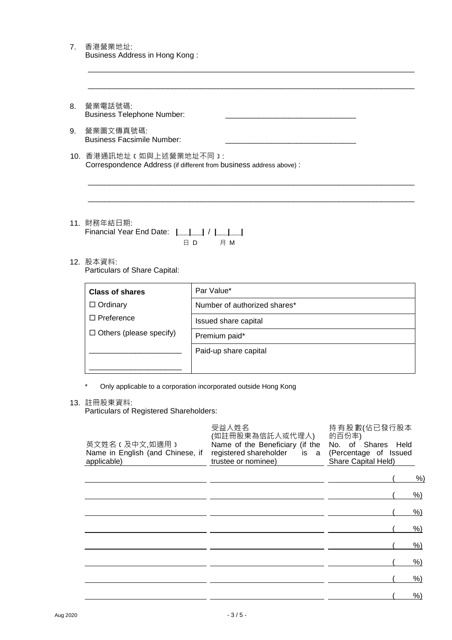| 營業電話號碼:<br>8.<br><b>Business Telephone Number:</b><br>營業圖文傳真號碼:<br>9.<br><b>Business Facsimile Number:</b><br>10. 香港通訊地址 (如與上述營業地址不同):<br>Correspondence Address (if different from business address above) :<br>11. 財務年結日期:<br>Financial Year End Date:            <br>ED<br>月 M<br>12. 股本資料:<br>Particulars of Share Capital:<br>Par Value*<br><b>Class of shares</b><br>$\Box$ Ordinary<br>Number of authorized shares*<br>$\Box$ Preference<br>Issued share capital<br>$\Box$ Others (please specify)<br>Premium paid*<br>Paid-up share capital<br>Only applicable to a corporation incorporated outside Hong Kong<br>13. 註冊股東資料:<br>Particulars of Registered Shareholders:<br>受益人姓名<br>持有股數(佔已發行股本<br>(如註冊股東為信託人或代理人)<br>的百份率)<br>英文姓名 (及中文,如適用)<br>No. of Shares Held<br>Name of the Beneficiary (if the<br>Name in English (and Chinese, if<br>registered shareholder<br>is<br>(Percentage of Issued<br><sub>a</sub><br>trustee or nominee)<br>applicable)<br>Share Capital Held) | Business Address in Hong Kong: |  |       |
|-------------------------------------------------------------------------------------------------------------------------------------------------------------------------------------------------------------------------------------------------------------------------------------------------------------------------------------------------------------------------------------------------------------------------------------------------------------------------------------------------------------------------------------------------------------------------------------------------------------------------------------------------------------------------------------------------------------------------------------------------------------------------------------------------------------------------------------------------------------------------------------------------------------------------------------------------------------------------------------------|--------------------------------|--|-------|
|                                                                                                                                                                                                                                                                                                                                                                                                                                                                                                                                                                                                                                                                                                                                                                                                                                                                                                                                                                                           |                                |  |       |
|                                                                                                                                                                                                                                                                                                                                                                                                                                                                                                                                                                                                                                                                                                                                                                                                                                                                                                                                                                                           |                                |  |       |
|                                                                                                                                                                                                                                                                                                                                                                                                                                                                                                                                                                                                                                                                                                                                                                                                                                                                                                                                                                                           |                                |  |       |
|                                                                                                                                                                                                                                                                                                                                                                                                                                                                                                                                                                                                                                                                                                                                                                                                                                                                                                                                                                                           |                                |  |       |
|                                                                                                                                                                                                                                                                                                                                                                                                                                                                                                                                                                                                                                                                                                                                                                                                                                                                                                                                                                                           |                                |  |       |
|                                                                                                                                                                                                                                                                                                                                                                                                                                                                                                                                                                                                                                                                                                                                                                                                                                                                                                                                                                                           |                                |  |       |
|                                                                                                                                                                                                                                                                                                                                                                                                                                                                                                                                                                                                                                                                                                                                                                                                                                                                                                                                                                                           |                                |  |       |
|                                                                                                                                                                                                                                                                                                                                                                                                                                                                                                                                                                                                                                                                                                                                                                                                                                                                                                                                                                                           |                                |  |       |
|                                                                                                                                                                                                                                                                                                                                                                                                                                                                                                                                                                                                                                                                                                                                                                                                                                                                                                                                                                                           |                                |  |       |
|                                                                                                                                                                                                                                                                                                                                                                                                                                                                                                                                                                                                                                                                                                                                                                                                                                                                                                                                                                                           |                                |  |       |
|                                                                                                                                                                                                                                                                                                                                                                                                                                                                                                                                                                                                                                                                                                                                                                                                                                                                                                                                                                                           |                                |  |       |
|                                                                                                                                                                                                                                                                                                                                                                                                                                                                                                                                                                                                                                                                                                                                                                                                                                                                                                                                                                                           |                                |  |       |
|                                                                                                                                                                                                                                                                                                                                                                                                                                                                                                                                                                                                                                                                                                                                                                                                                                                                                                                                                                                           |                                |  |       |
|                                                                                                                                                                                                                                                                                                                                                                                                                                                                                                                                                                                                                                                                                                                                                                                                                                                                                                                                                                                           |                                |  | %     |
|                                                                                                                                                                                                                                                                                                                                                                                                                                                                                                                                                                                                                                                                                                                                                                                                                                                                                                                                                                                           |                                |  | $%$ ) |
|                                                                                                                                                                                                                                                                                                                                                                                                                                                                                                                                                                                                                                                                                                                                                                                                                                                                                                                                                                                           |                                |  | $%$ ) |
|                                                                                                                                                                                                                                                                                                                                                                                                                                                                                                                                                                                                                                                                                                                                                                                                                                                                                                                                                                                           |                                |  | $%$ ) |
|                                                                                                                                                                                                                                                                                                                                                                                                                                                                                                                                                                                                                                                                                                                                                                                                                                                                                                                                                                                           |                                |  | $%$ ) |
|                                                                                                                                                                                                                                                                                                                                                                                                                                                                                                                                                                                                                                                                                                                                                                                                                                                                                                                                                                                           |                                |  | %     |
|                                                                                                                                                                                                                                                                                                                                                                                                                                                                                                                                                                                                                                                                                                                                                                                                                                                                                                                                                                                           |                                |  | $%$ ) |
|                                                                                                                                                                                                                                                                                                                                                                                                                                                                                                                                                                                                                                                                                                                                                                                                                                                                                                                                                                                           |                                |  | $%$ ) |

7. 香港營業地址: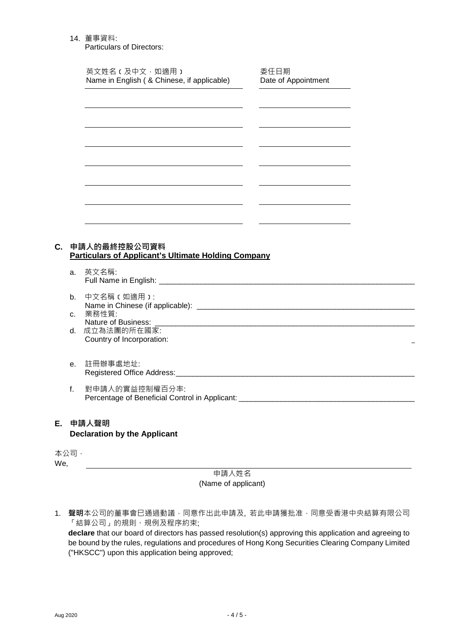### 14. 董事資料:

Particulars of Directors:

|    |         | 英文姓名 c 及中文, 如適用 )<br>Name in English ( & Chinese, if applicable) | 委任日期<br>Date of Appointment |  |
|----|---------|------------------------------------------------------------------|-----------------------------|--|
|    |         |                                                                  |                             |  |
|    |         |                                                                  |                             |  |
|    |         |                                                                  |                             |  |
|    |         |                                                                  |                             |  |
|    |         |                                                                  |                             |  |
|    |         | <u> 1986 - Andrea State Barbara, pre</u>                         |                             |  |
|    |         |                                                                  |                             |  |
|    |         | 申請人的最終控股公司資料                                                     |                             |  |
|    |         | <b>Particulars of Applicant's Ultimate Holding Company</b>       |                             |  |
|    |         | a. 英文名稱:                                                         |                             |  |
|    | b.      | 中文名稱 【如適用 】:                                                     |                             |  |
| C. |         | c. 業務性質:<br>Nature of Business:                                  |                             |  |
|    |         | d. 成立為法團的所在國家:<br>Country of Incorporation:                      |                             |  |
|    | $e_{1}$ | 註冊辦事處地址:                                                         |                             |  |

## **E. 申請人聲明 Declaration by the Applicant**

本公司, We,

> 申請人姓名 (Name of applicant)

1. 聲明本公司的董事會巳通過動議,同意作出此申請及, 若此申請獲批准,同意受香港中央結算有限公司 「結算公司」的規則、規例及程序約束;

**declare** that our board of directors has passed resolution(s) approving this application and agreeing to be bound by the rules, regulations and procedures of Hong Kong Securities Clearing Company Limited ("HKSCC") upon this application being approved;